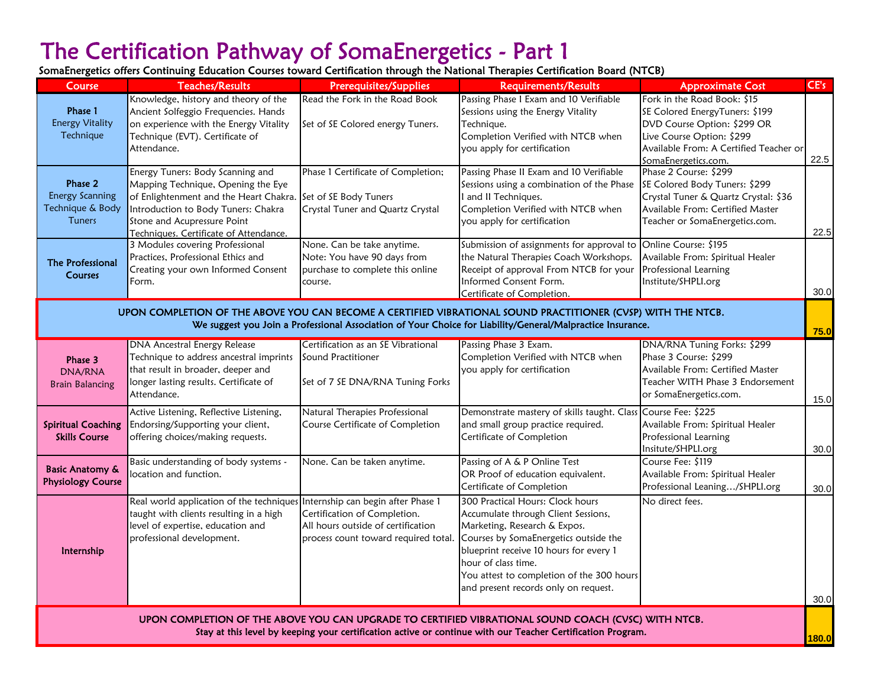# The Certification Pathway of SomaEnergetics - Part 1

SomaEnergetics offers Continuing Education Courses toward Certification through the National Therapies Certification Board (NTCB)

| Course                                                                                                                                                                                                                      | <b>Teaches/Results</b>                                                                                                                                                                                                           | Prerequisites/Supplies                                                                                     | <b>Requirements/Results</b>                                                                                                                                                                                                                                                                            | <b>Approximate Cost</b>                                                                                                                                                                    | CE's |  |  |
|-----------------------------------------------------------------------------------------------------------------------------------------------------------------------------------------------------------------------------|----------------------------------------------------------------------------------------------------------------------------------------------------------------------------------------------------------------------------------|------------------------------------------------------------------------------------------------------------|--------------------------------------------------------------------------------------------------------------------------------------------------------------------------------------------------------------------------------------------------------------------------------------------------------|--------------------------------------------------------------------------------------------------------------------------------------------------------------------------------------------|------|--|--|
| Phase 1<br><b>Energy Vitality</b><br>Technique                                                                                                                                                                              | Knowledge, history and theory of the<br>Ancient Solfeggio Frequencies. Hands<br>on experience with the Energy Vitality<br>Technique (EVT). Certificate of<br>Attendance.                                                         | Read the Fork in the Road Book<br>Set of SE Colored energy Tuners.                                         | Passing Phase I Exam and 10 Verifiable<br>Sessions using the Energy Vitality<br>Technique.<br>Completion Verified with NTCB when<br>you apply for certification                                                                                                                                        | Fork in the Road Book: \$15<br>SE Colored EnergyTuners: \$199<br>DVD Course Option: \$299 OR<br>Live Course Option: \$299<br>Available From: A Certified Teacher or<br>SomaEnergetics.com. | 22.5 |  |  |
| Phase 2<br><b>Energy Scanning</b><br>Technique & Body<br>Tuners                                                                                                                                                             | Energy Tuners: Body Scanning and<br>Mapping Technique, Opening the Eye<br>of Enlightenment and the Heart Chakra.<br>Introduction to Body Tuners: Chakra<br>Stone and Acupressure Point<br>Techniques. Certificate of Attendance. | Phase 1 Certificate of Completion;<br>Set of SE Body Tuners<br>Crystal Tuner and Quartz Crystal            | Passing Phase II Exam and 10 Verifiable<br>Sessions using a combination of the Phase<br>I and II Techniques.<br>Completion Verified with NTCB when<br>you apply for certification                                                                                                                      | Phase 2 Course: \$299<br>SE Colored Body Tuners: \$299<br>Crystal Tuner & Quartz Crystal: \$36<br>Available From: Certified Master<br>Teacher or SomaEnergetics.com.                       | 22.5 |  |  |
| The Professional<br>Courses                                                                                                                                                                                                 | 3 Modules covering Professional<br>Practices, Professional Ethics and<br>Creating your own Informed Consent<br>Form.                                                                                                             | None. Can be take anytime.<br>Note: You have 90 days from<br>purchase to complete this online<br>course.   | Submission of assignments for approval to<br>the Natural Therapies Coach Workshops.<br>Receipt of approval From NTCB for your<br>Informed Consent Form.<br>Certificate of Completion.                                                                                                                  | Online Course: \$195<br>Available From: Spiritual Healer<br>Professional Learning<br>Institute/SHPLI.org                                                                                   | 30.0 |  |  |
| UPON COMPLETION OF THE ABOVE YOU CAN BECOME A CERTIFIED VIBRATIONAL SOUND PRACTITIONER (CVSP) WITH THE NTCB.<br>We suggest you Join a Professional Association of Your Choice for Liability/General/Malpractice Insurance.  |                                                                                                                                                                                                                                  |                                                                                                            |                                                                                                                                                                                                                                                                                                        |                                                                                                                                                                                            |      |  |  |
| Phase 3<br>DNA/RNA<br><b>Brain Balancing</b>                                                                                                                                                                                | <b>DNA Ancestral Energy Release</b><br>Technique to address ancestral imprints<br>that result in broader, deeper and<br>longer lasting results. Certificate of<br>Attendance.                                                    | Certification as an SE Vibrational<br>Sound Practitioner<br>Set of 7 SE DNA/RNA Tuning Forks               | Passing Phase 3 Exam.<br>Completion Verified with NTCB when<br>you apply for certification                                                                                                                                                                                                             | DNA/RNA Tuning Forks: \$299<br>Phase 3 Course: \$299<br>Available From: Certified Master<br>Teacher WITH Phase 3 Endorsement<br>or SomaEnergetics.com.                                     | 15.0 |  |  |
| <b>Spiritual Coaching</b><br><b>Skills Course</b>                                                                                                                                                                           | Active Listening, Reflective Listening,<br>Endorsing/Supporting your client,<br>offering choices/making requests.                                                                                                                | Natural Therapies Professional<br>Course Certificate of Completion                                         | Demonstrate mastery of skills taught. Class<br>and small group practice required.<br>Certificate of Completion                                                                                                                                                                                         | Course Fee: \$225<br>Available From: Spiritual Healer<br>Professional Learning<br>Insitute/SHPLI.org                                                                                       | 30.0 |  |  |
| <b>Basic Anatomy &amp;</b><br><b>Physiology Course</b>                                                                                                                                                                      | Basic understanding of body systems -<br>ocation and function.                                                                                                                                                                   | None. Can be taken anytime.                                                                                | Passing of A & P Online Test<br>OR Proof of education equivalent.<br>Certificate of Completion                                                                                                                                                                                                         | Course Fee: \$119<br>Available From: Spiritual Healer<br>Professional Leaning/SHPLI.org                                                                                                    | 30.0 |  |  |
| Internship                                                                                                                                                                                                                  | Real world application of the techniques Internship can begin after Phase 1<br>taught with clients resulting in a high<br>level of expertise, education and<br>professional development.                                         | Certification of Completion.<br>All hours outside of certification<br>process count toward required total. | 300 Practical Hours: Clock hours<br>Accumulate through Client Sessions,<br>Marketing, Research & Expos.<br>Courses by SomaEnergetics outside the<br>blueprint receive 10 hours for every 1<br>hour of class time.<br>You attest to completion of the 300 hours<br>and present records only on request. | No direct fees.                                                                                                                                                                            | 30.0 |  |  |
| UPON COMPLETION OF THE ABOVE YOU CAN UPGRADE TO CERTIFIED VIBRATIONAL SOUND COACH (CVSC) WITH NTCB.<br>Stay at this level by keeping your certification active or continue with our Teacher Certification Program.<br>180.0 |                                                                                                                                                                                                                                  |                                                                                                            |                                                                                                                                                                                                                                                                                                        |                                                                                                                                                                                            |      |  |  |